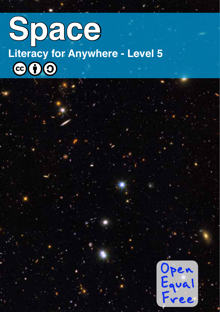# **Space Literacy for Anywhere - Level 5** $C_0(1)$

Open<br>Equal Free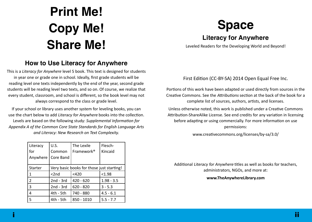# **Print Me! Copy Me! Share Me!**

### **How to Use Literacy for Anywhere**

This is a *Literacy for Anywhere* level 5 book. This text is designed for students in year one or grade one in school. Ideally, first grade students will be reading level one texts independently by the end of the year, second grade students will be reading level two texts, and so on. Of course, we realize that every student, classroom, and school is different, so the book level may not always correspond to the class or grade level.

If your school or library uses another system for leveling books, you can use the chart below to add Literacy for Anywhere books into the collection. Levels are based on the following study: *Supplemental Information for Appendix A of the Common Core State Standards for English Language Arts and Literacy: New Research on Text Complexity.*

| Literacy       | U.S.                                      | The Lexile             | Flesch-      |
|----------------|-------------------------------------------|------------------------|--------------|
| for            | Common                                    | Framework <sup>®</sup> | Kincaid      |
| Anywhere       | Core Band                                 |                        |              |
|                |                                           |                        |              |
| <b>Starter</b> | Very basic books for those just starting! |                        |              |
| 1              | < 2nd                                     | $<$ 420                | < 1.98       |
| $\overline{2}$ | $2nd - 3rd$                               | $420 - 620$            | $1.98 - 3.5$ |
| 3              | $2nd - 3rd$                               | $620 - 820$            | $3 - 5.3$    |
| 4              | $4th - 5th$                               | 740 - 880              | $4.5 - 6.1$  |
| 5              | 4th - 5th                                 | 850 - 1010             | $5.5 - 7.7$  |

# **Space**

### **Literacy for Anywhere**

Leveled Readers for the Developing World and Beyond!

First Edition (CC-BY-SA) 2014 Open Equal Free Inc.

Portions of this work have been adapted or used directly from sources in the Creative Commons. See the Attributions section at the back of the book for a complete list of sources, authors, artists, and licenses.

Unless otherwise noted, this work is published under a Creative Commons Attribution-ShareAlike License. See end credits for any variation in licensing before adapting or using commercially. For more information on use permissions:

www.creativecommons.org/licenses/by-sa/3.0/

Additional Literacy for Anywhere titles as well as books for teachers, administrators, NGOs, and more at:

#### **www.TheAnywhereLibrary.com**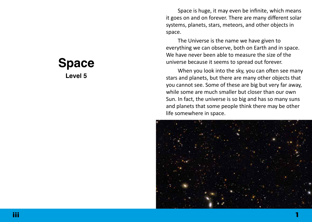**Space Level 5**

Space is huge, it may even be infinite, which means it goes on and on forever. There are many different solar systems, planets, stars, meteors, and other objects in space.

The Universe is the name we have given to everything we can observe, both on Earth and in space. We have never been able to measure the size of the universe because it seems to spread out forever.

When you look into the sky, you can often see many stars and planets, but there are many other objects that you cannot see. Some of these are big but very far away, while some are much smaller but closer than our own Sun. In fact, the universe is so big and has so many suns and planets that some people think there may be other life somewhere in space.

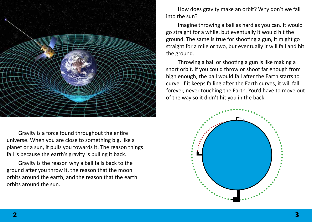

Gravity is a force found throughout the entire universe. When you are close to something big, like a planet or a sun, it pulls you towards it. The reason things fall is because the earth's gravity is pulling it back.

Gravity is the reason why a ball falls back to the ground after you throw it, the reason that the moon orbits around the earth, and the reason that the earth orbits around the sun.

How does gravity make an orbit? Why don't we fall into the sun?

Imagine throwing a ball as hard as you can. It would go straight for a while, but eventually it would hit the ground. The same is true for shooting a gun, it might go straight for a mile or two, but eventually it will fall and hit the ground.

Throwing a ball or shooting a gun is like making a short orbit. If you could throw or shoot far enough from high enough, the ball would fall after the Earth starts to curve. If it keeps falling after the Earth curves, it will fall forever, never touching the Earth. You'd have to move out of the way so it didn't hit you in the back.

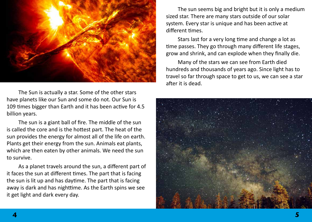

The Sun is actually a star. Some of the other stars have planets like our Sun and some do not. Our Sun is 109 times bigger than Earth and it has been active for 4.5 billion years.

The sun is a giant ball of fire. The middle of the sun is called the core and is the hottest part. The heat of the sun provides the energy for almost all of the life on earth. Plants get their energy from the sun. Animals eat plants, which are then eaten by other animals. We need the sun to survive.

As a planet travels around the sun, a different part of it faces the sun at different times. The part that is facing the sun is lit up and has daytime. The part that is facing away is dark and has nighttime. As the Earth spins we see it get light and dark every day.

The sun seems big and bright but it is only a medium sized star. There are many stars outside of our solar system. Every star is unique and has been active at different times.

Stars last for a very long time and change a lot as time passes. They go through many different life stages, grow and shrink, and can explode when they finally die.

Many of the stars we can see from Earth died hundreds and thousands of years ago. Since light has to travel so far through space to get to us, we can see a star after it is dead.

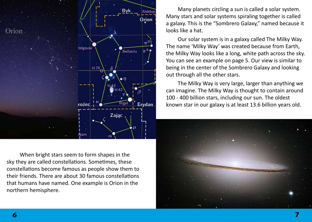

Many planets circling a sun is called a solar system. Many stars and solar systems spiraling together is called a galaxy. This is the "Sombrero Galaxy," named because it looks like a hat.

Our solar system is in a galaxy called The Milky Way. The name 'Milky Way' was created because from Earth, the Milky Way looks like a long, white path across the sky. You can see an example on page 5. Our view is similar to being in the center of the Sombrero Galaxy and looking out through all the other stars.

The Milky Way is very large, larger than anything we can imagine. The Milky Way is thought to contain around 100 - 400 billion stars, including our sun. The oldest known star in our galaxy is at least 13.6 billion years old.

 When bright stars seem to form shapes in the sky they are called constellations. Sometimes, these constellations become famous as people show them to their friends. There are about 30 famous constellations that humans have named. One example is Orion in the northern hemisphere.

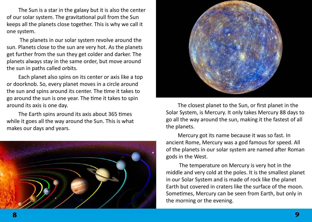The Sun is a star in the galaxy but it is also the center of our solar system. The gravitational pull from the Sun keeps all the planets close together. This is why we call it one system.

 The planets in our solar system revolve around the sun. Planets close to the sun are very hot. As the planets get further from the sun they get colder and darker. The planets always stay in the same order, but move around the sun in paths called orbits.

Each planet also spins on its center or axis like a top or doorknob. So, every planet moves in a circle around the sun and spins around its center. The time it takes to go around the sun is one year. The time it takes to spin around its axis is one day.

The Earth spins around its axis about 365 times while it goes all the way around the Sun. This is what makes our days and years.





The closest planet to the Sun, or first planet in the Solar System, is Mercury. It only takes Mercury 88 days to go all the way around the sun, making it the fastest of all the planets.

Mercury got its name because it was so fast. In ancient Rome, Mercury was a god famous for speed. All of the planets in our solar system are named after Roman gods in the West.

 The temperature on Mercury is very hot in the middle and very cold at the poles. It is the smallest planet in our Solar System and is made of rock like the planet Earth but covered in craters like the surface of the moon. Sometimes, Mercury can be seen from Earth, but only in the morning or the evening.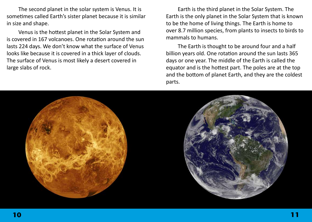The second planet in the solar system is Venus. It is sometimes called Earth's sister planet because it is similar in size and shape.

Venus is the hottest planet in the Solar System and is covered in 167 volcanoes. One rotation around the sun lasts 224 days. We don't know what the surface of Venus looks like because it is covered in a thick layer of clouds. The surface of Venus is most likely a desert covered in large slabs of rock.

Earth is the third planet in the Solar System. The Earth is the only planet in the Solar System that is known to be the home of living things. The Earth is home to over 8.7 million species, from plants to insects to birds to mammals to humans.

The Earth is thought to be around four and a half billion years old. One rotation around the sun lasts 365 days or one year. The middle of the Earth is called the equator and is the hottest part. The poles are at the top and the bottom of planet Earth, and they are the coldest parts.

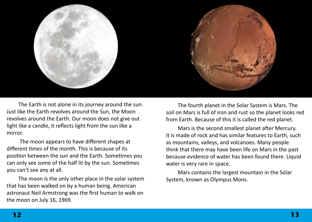

The Earth is not alone in its journey around the sun. Just like the Earth revolves around the Sun, the Moon revolves around the Earth. Our moon does not give out light like a candle, it reflects light from the sun like a mirror.

 The moon appears to have different shapes at different times of the month. This is because of its position between the sun and the Earth. Sometimes you can only see some of the half lit by the sun. Sometimes you can't see any at all.

The moon is the only other place in the solar system that has been walked on by a human being. American astronaut Neil Armstrong was the first human to walk on the moon on July 16, 1969.

The fourth planet in the Solar System is Mars. The soil on Mars is full of iron and rust so the planet looks red from Earth. Because of this it is called the red planet.

Mars is the second smallest planet after Mercury. It is made of rock and has similar features to Earth, such as mountains, valleys, and volcanoes. Many people think that there may have been life on Mars in the past because evidence of water has been found there. Liquid water is very rare in space.

Mars contains the largest mountain in the Solar System, known as Olympus Mons.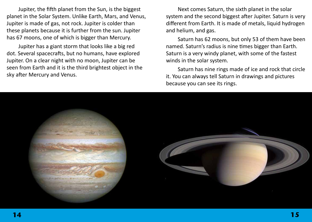Jupiter, the fifth planet from the Sun, is the biggest planet in the Solar System. Unlike Earth, Mars, and Venus, Jupiter is made of gas, not rock. Jupiter is colder than these planets because it is further from the sun. Jupiter has 67 moons, one of which is bigger than Mercury.

Jupiter has a giant storm that looks like a big red dot. Several spacecrafts, but no humans, have explored Jupiter. On a clear night with no moon, Jupiter can be seen from Earth and it is the third brightest object in the sky after Mercury and Venus.

Next comes Saturn, the sixth planet in the solar system and the second biggest after Jupiter. Saturn is very different from Earth. It is made of metals, liquid hydrogen and helium, and gas.

Saturn has 62 moons, but only 53 of them have been named. Saturn's radius is nine times bigger than Earth. Saturn is a very windy planet, with some of the fastest winds in the solar system.

Saturn has nine rings made of ice and rock that circle it. You can always tell Saturn in drawings and pictures because you can see its rings.

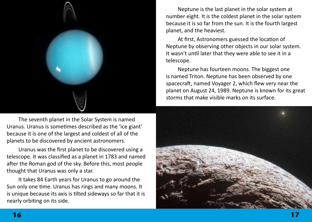

The seventh planet in the Solar System is named Uranus. Uranus is sometimes described as the 'ice giant' because it is one of the largest and coldest of all of the planets to be discovered by ancient astronomers.

Uranus was the first planet to be discovered using a telescope. It was classified as a planet in 1783 and named after the Roman god of the sky. Before this, most people thought that Uranus was only a star.

It takes 84 Earth years for Uranus to go around the Sun only one time. Uranus has rings and many moons. It is unique because its axis is tilted sideways so far that it is nearly orbiting on its side.

Neptune is the last planet in the solar system at number eight. It is the coldest planet in the solar system because it is so far from the sun. It is the fourth largest planet, and the heaviest.

At first, Astronomers guessed the location of Neptune by observing other objects in our solar system. It wasn't until later that they were able to see it in a telescope.

Neptune has fourteen moons. The biggest one is named Triton. Neptune has been observed by one spacecraft, named Voyager 2, which flew very near the planet on August 24, 1989. Neptune is known for its great storms that make visible marks on its surface.

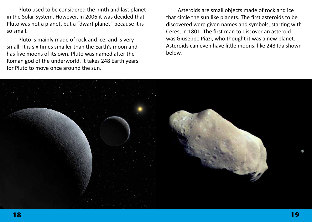Pluto used to be considered the ninth and last planet in the Solar System. However, in 2006 it was decided that Pluto was not a planet, but a "dwarf planet" because it is so small.

Pluto is mainly made of rock and ice, and is very small. It is six times smaller than the Earth's moon and has five moons of its own. Pluto was named after the Roman god of the underworld. It takes 248 Earth years for Pluto to move once around the sun.

Asteroids are small objects made of rock and ice that circle the sun like planets. The first asteroids to be discovered were given names and symbols, starting with Ceres, in 1801. The first man to discover an asteroid was Giuseppe Piazi, who thought it was a new planet. Asteroids can even have little moons, like 243 Ida shown below.

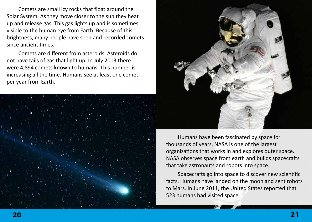Comets are small icy rocks that float around the Solar System. As they move closer to the sun they heat up and release gas. This gas lights up and is sometimes visible to the human eye from Earth. Because of this brightness, many people have seen and recorded comets since ancient times.

Comets are different from asteroids. Asteroids do not have tails of gas that light up. In July 2013 there were 4,894 comets known to humans. This number is increasing all the time. Humans see at least one comet per year from Earth.





Humans have been fascinated by space for thousands of years. NASA is one of the largest organizations that works in and explores outer space. NASA observes space from earth and builds spacecrafts that take astronauts and robots into space.

Spacecrafts go into space to discover new scientific facts. Humans have landed on the moon and sent robots to Mars. In June 2011, the United States reported that 523 humans had visited space.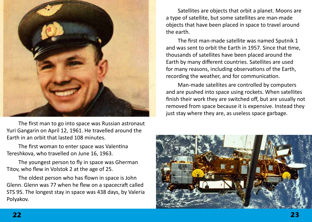

The first man to go into space was Russian astronaut Yuri Gangarin on April 12, 1961. He travelled around the Earth in an orbit that lasted 108 minutes.

The first woman to enter space was Valentina Tereshkova, who travelled on June 16, 1963.

The youngest person to fly in space was Gherman Titov, who flew in Volstok 2 at the age of 25.

The oldest person who has flown in space is John Glenn. Glenn was 77 when he flew on a spacecraft called STS 95. The longest stay in space was 438 days, by Valeria Polyakov.

Satellites are objects that orbit a planet. Moons are a type of satellite, but some satellites are man-made objects that have been placed in space to travel around the earth.

The first man-made satellite was named Sputnik 1 and was sent to orbit the Earth in 1957. Since that time, thousands of satellites have been placed around the Earth by many different countries. Satellites are used for many reasons, including observations of the Earth, recording the weather, and for communication.

Man-made satellites are controlled by computers and are pushed into space using rockets. When satellites finish their work they are switched off, but are usually not removed from space because it is expensive. Instead they just stay where they are, as useless space garbage.

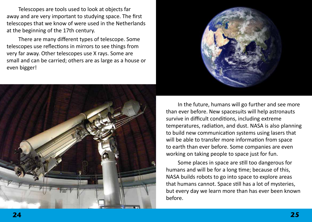Telescopes are tools used to look at objects far away and are very important to studying space. The first telescopes that we know of were used in the Netherlands at the beginning of the 17th century.

There are many different types of telescope. Some telescopes use reflections in mirrors to see things from very far away. Other telescopes use X rays. Some are small and can be carried; others are as large as a house or even bigger!





In the future, humans will go further and see more than ever before. New spacesuits will help astronauts survive in difficult conditions, including extreme temperatures, radiation, and dust. NASA is also planning to build new communication systems using lasers that will be able to transfer more information from space to earth than ever before. Some companies are even working on taking people to space just for fun.

Some places in space are still too dangerous for humans and will be for a long time; because of this, NASA builds robots to go into space to explore areas that humans cannot. Space still has a lot of mysteries, but every day we learn more than has ever been known before.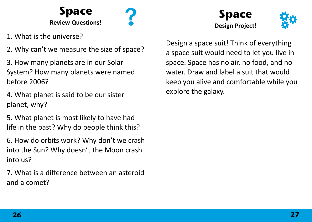

- 1. What is the universe?
- 2. Why can't we measure the size of space?
- 3. How many planets are in our Solar System? How many planets were named before 2006?
- 4. What planet is said to be our sister planet, why?
- 5. What planet is most likely to have had life in the past? Why do people think this?
- 6. How do orbits work? Why don't we crash into the Sun? Why doesn't the Moon crash into us?
- 7. What is a difference between an asteroid and a comet?





Design a space suit! Think of everything a space suit would need to let you live in space. Space has no air, no food, and no water. Draw and label a suit that would keep you alive and comfortable while you explore the galaxy.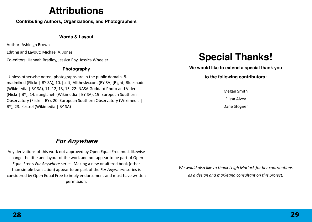## **Attributions**

**Contributing Authors, Organizations, and Photographers**

#### **Words & Layout**

Author: Ashleigh Brown

Editing and Layout: Michael A. Jones

Co-editors: Hannah Bradley, Jessica Eby, Jessica Wheeler

### **Photography**

 Unless otherwise noted, photographs are in the public domain. 8. madmiked (Flickr | BY-SA), 10. [Left] Allthesky.com (BY-SA) [Right] Blueshade (Wikimedia | BY-SA), 11, 12, 13, 15, 22: NASA Goddard Photo and Video (Flickr | BY), 14. iranglaneh (Wikimedia | BY-SA), 19. European Southern Observatory (Flickr | BY), 20. European Southern Observatory (Wikimedia | BY), 23. Kestrel (Wikimedia | BY-SA)

## **Special Thanks!**

**We would like to extend a special thank you** 

**to the following contributors:**

Megan Smith Elissa Alvey Dane Stogner

## **For Anywhere**

Any derivations of this work not approved by Open Equal Free must likewise change the title and layout of the work and not appear to be part of Open Equal Free's *For Anywhere* series. Making a new or altered book (other than simple translation) appear to be part of the *For Anywhere* series is considered by Open Equal Free to imply endorsement and must have written permission.

*We would also like to thank Leigh Morlock for her contributions as a design and marketing consultant on this project.*